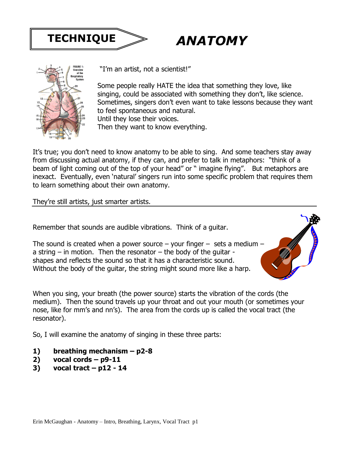

# *ANATOMY*



"I'm an artist, not a scientist!"

Some people really HATE the idea that something they love, like singing, could be associated with something they don't, like science. Sometimes, singers don't even want to take lessons because they want to feel spontaneous and natural. Until they lose their voices.

Then they want to know everything.

It's true; you don't need to know anatomy to be able to sing. And some teachers stay away from discussing actual anatomy, if they can, and prefer to talk in metaphors: "think of a beam of light coming out of the top of your head" or " imagine flying". But metaphors are inexact. Eventually, even 'natural' singers run into some specific problem that requires them to learn something about their own anatomy.

They're still artists, just smarter artists.

Remember that sounds are audible vibrations. Think of a guitar.

The sound is created when a power source  $-$  your finger  $-$  sets a medium  $$ a string  $-$  in motion. Then the resonator  $-$  the body of the guitar  $$ shapes and reflects the sound so that it has a characteristic sound. Without the body of the guitar, the string might sound more like a harp.

When you sing, your breath (the power source) starts the vibration of the cords (the medium). Then the sound travels up your throat and out your mouth (or sometimes your nose, like for mm's and nn's). The area from the cords up is called the vocal tract (the resonator).

So, I will examine the anatomy of singing in these three parts:

- **1) breathing mechanism – p2-8**
- **2) vocal cords – p9-11**
- **3) vocal tract – p12 - 14**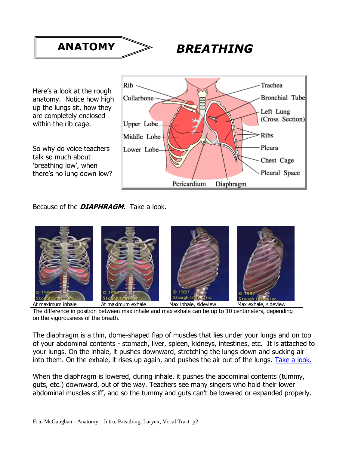

Here's a look at the rough anatomy. Notice how high up the lungs sit, how they are completely enclosed within the rib cage.

So why do voice teachers talk so much about 'breathing low', when there's no lung down low?



Because of the **DIAPHRAGM**. Take a look.



The difference in position between max inhale and max exhale can be up to 10 centimeters, depending on the vigorousness of the breath.

The diaphragm is a thin, dome-shaped flap of muscles that lies under your lungs and on top of your abdominal contents - stomach, liver, spleen, kidneys, intestines, etc. It is attached to your lungs. On the inhale, it pushes downward, stretching the lungs down and sucking air into them. On the exhale, it rises up again, and pushes the air out of the lungs. Take a look.

When the diaphragm is lowered, during inhale, it pushes the abdominal contents (tummy, guts, etc.) downward, out of the way. Teachers see many singers who hold their lower abdominal muscles stiff, and so the tummy and guts can't be lowered or expanded properly.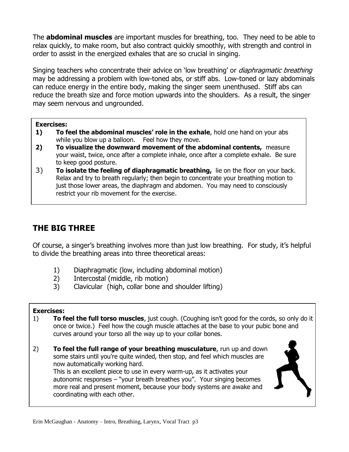The **abdominal muscles** are important muscles for breathing, too. They need to be able to relax quickly, to make room, but also contract quickly smoothly, with strength and control in order to assist in the energized exhales that are so crucial in singing.

Singing teachers who concentrate their advice on 'low breathing' or *diaphragmatic breathing* may be addressing a problem with low-toned abs, or stiff abs. Low-toned or lazy abdominals can reduce energy in the entire body, making the singer seem unenthused. Stiff abs can reduce the breath size and force motion upwards into the shoulders. As a result, the singer may seem nervous and ungrounded.

#### **Exercises:**

- **1) To feel the abdominal muscles' role in the exhale**, hold one hand on your abs while you blow up a balloon. Feel how they move.
- **2) To visualize the downward movement of the abdominal contents,** measure your waist, twice, once after a complete inhale, once after a complete exhale. Be sure to keep good posture.
- 3) **To isolate the feeling of diaphragmatic breathing,** lie on the floor on your back. Relax and try to breath regularly; then begin to concentrate your breathing motion to just those lower areas, the diaphragm and abdomen. You may need to consciously restrict your rib movement for the exercise.

# **THE BIG THREE**

Of course, a singer's breathing involves more than just low breathing. For study, it's helpful to divide the breathing areas into three theoretical areas:

- 1) Diaphragmatic (low, including abdominal motion)
- 2) Intercostal (middle, rib motion)
- 3) Clavicular (high, collar bone and shoulder lifting)

#### **Exercises:**

- 1) **To feel the full torso muscles**, just cough. (Coughing isn't good for the cords, so only do it once or twice.) Feel how the cough muscle attaches at the base to your pubic bone and curves around your torso all the way up to your collar bones.
- 2) **To feel the full range of your breathing musculature**, run up and down some stairs until you're quite winded, then stop, and feel which muscles are now automatically working hard. This is an excellent piece to use in every warm-up, as it activates your autonomic responses – "your breath breathes you". Your singing becomes more real and present moment, because your body systems are awake and coordinating with each other.

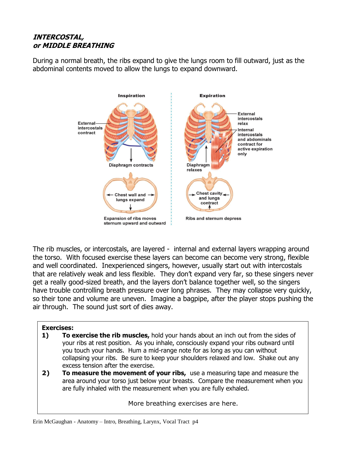## **INTERCOSTAL, or MIDDLE BREATHING**

During a normal breath, the ribs expand to give the lungs room to fill outward, just as the abdominal contents moved to allow the lungs to expand downward.



The rib muscles, or intercostals, are layered - internal and external layers wrapping around the torso. With focused exercise these layers can become can become very strong, flexible and well coordinated. Inexperienced singers, however, usually start out with intercostals that are relatively weak and less flexible. They don't expand very far, so these singers never get a really good-sized breath, and the layers don't balance together well, so the singers have trouble controlling breath pressure over long phrases. They may collapse very quickly, so their tone and volume are uneven. Imagine a bagpipe, after the player stops pushing the air through. The sound just sort of dies away.

### **Exercises:**

- **1) To exercise the rib muscles,** hold your hands about an inch out from the sides of your ribs at rest position. As you inhale, consciously expand your ribs outward until you touch your hands. Hum a mid-range note for as long as you can without collapsing your ribs. Be sure to keep your shoulders relaxed and low. Shake out any excess tension after the exercise.
- **2) To measure the movement of your ribs,** use a measuring tape and measure the area around your torso just below your breasts. Compare the measurement when you are fully inhaled with the measurement when you are fully exhaled.

More breathing exercises are here.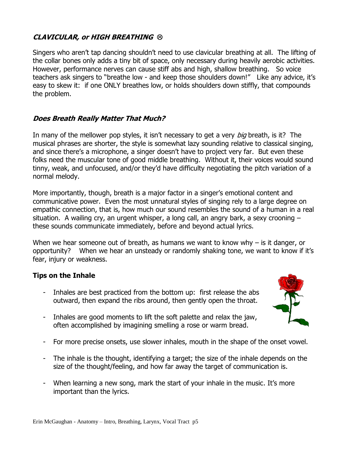# **CLAVICULAR, or HIGH BREATHING**

Singers who aren't tap dancing shouldn't need to use clavicular breathing at all. The lifting of the collar bones only adds a tiny bit of space, only necessary during heavily aerobic activities. However, performance nerves can cause stiff abs and high, shallow breathing. So voice teachers ask singers to "breathe low - and keep those shoulders down!" Like any advice, it's easy to skew it: if one ONLY breathes low, or holds shoulders down stiffly, that compounds the problem.

## **Does Breath Really Matter That Much?**

In many of the mellower pop styles, it isn't necessary to get a very *big* breath, is it? The musical phrases are shorter, the style is somewhat lazy sounding relative to classical singing, and since there's a microphone, a singer doesn't have to project very far. But even these folks need the muscular tone of good middle breathing. Without it, their voices would sound tinny, weak, and unfocused, and/or they'd have difficulty negotiating the pitch variation of a normal melody.

More importantly, though, breath is a major factor in a singer's emotional content and communicative power. Even the most unnatural styles of singing rely to a large degree on empathic connection, that is, how much our sound resembles the sound of a human in a real situation. A wailing cry, an urgent whisper, a long call, an angry bark, a sexy crooning – these sounds communicate immediately, before and beyond actual lyrics.

When we hear someone out of breath, as humans we want to know why  $-$  is it danger, or opportunity? When we hear an unsteady or randomly shaking tone, we want to know if it's fear, injury or weakness.

## **Tips on the Inhale**

- Inhales are best practiced from the bottom up: first release the abs outward, then expand the ribs around, then gently open the throat.
- Inhales are good moments to lift the soft palette and relax the jaw, often accomplished by imagining smelling a rose or warm bread.
- For more precise onsets, use slower inhales, mouth in the shape of the onset vowel.
- The inhale is the thought, identifying a target; the size of the inhale depends on the size of the thought/feeling, and how far away the target of communication is.
- When learning a new song, mark the start of your inhale in the music. It's more important than the lyrics.

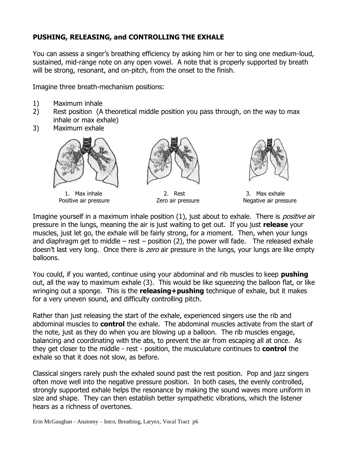# **PUSHING, RELEASING, and CONTROLLING THE EXHALE**

You can assess a singer's breathing efficiency by asking him or her to sing one medium-loud, sustained, mid-range note on any open vowel. A note that is properly supported by breath will be strong, resonant, and on-pitch, from the onset to the finish.

Imagine three breath-mechanism positions:

- 1) Maximum inhale
- 2) Rest position (A theoretical middle position you pass through, on the way to max inhale or max exhale)
- 3) Maximum exhale



1. Max inhale Positive air pressure



2. Rest Zero air pressure



3. Max exhale Negative air pressure

Imagine yourself in a maximum inhale position (1), just about to exhale. There is *positive* air pressure in the lungs, meaning the air is just waiting to get out. If you just **release** your muscles, just let go, the exhale will be fairly strong, for a moment. Then, when your lungs and diaphragm get to middle – rest – position  $(2)$ , the power will fade. The released exhale doesn't last very long. Once there is *zero* air pressure in the lungs, your lungs are like empty balloons.

You could, if you wanted, continue using your abdominal and rib muscles to keep **pushing** out, all the way to maximum exhale (3). This would be like squeezing the balloon flat, or like wringing out a sponge. This is the **releasing+pushing** technique of exhale, but it makes for a very uneven sound, and difficulty controlling pitch.

Rather than just releasing the start of the exhale, experienced singers use the rib and abdominal muscles to **control** the exhale. The abdominal muscles activate from the start of the note, just as they do when you are blowing up a balloon. The rib muscles engage, balancing and coordinating with the abs, to prevent the air from escaping all at once. As they get closer to the middle - rest - position, the musculature continues to **control** the exhale so that it does not slow, as before.

Classical singers rarely push the exhaled sound past the rest position. Pop and jazz singers often move well into the negative pressure position. In both cases, the evenly controlled, strongly supported exhale helps the resonance by making the sound waves more uniform in size and shape. They can then establish better sympathetic vibrations, which the listener hears as a richness of overtones.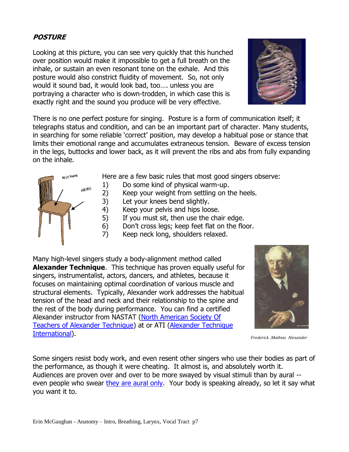## **POSTURE**

Looking at this picture, you can see very quickly that this hunched over position would make it impossible to get a full breath on the inhale, or sustain an even resonant tone on the exhale. And this posture would also constrict fluidity of movement. So, not only would it sound bad, it would look bad, too…. unless you are portraying a character who is down-trodden, in which case this is exactly right and the sound you produce will be very effective.



There is no one perfect posture for singing. Posture is a form of communication itself; it telegraphs status and condition, and can be an important part of character. Many students, in searching for some reliable 'correct' position, may develop a habitual pose or stance that limits their emotional range and accumulates extraneous tension. Beware of excess tension in the legs, buttocks and lower back, as it will prevent the ribs and abs from fully expanding on the inhale.



Here are a few basic rules that most good singers observe:

- 1) Do some kind of physical warm-up.
- 2) Keep your weight from settling on the heels.
- 3) Let your knees bend slightly.
- 4) Keep your pelvis and hips loose.
- 5) If you must sit, then use the chair edge.
- 6) Don't cross legs; keep feet flat on the floor.
- 7) Keep neck long, shoulders relaxed.

Many high-level singers study a body-alignment method called **Alexander Technique**. This technique has proven equally useful for singers, instrumentalist, actors, dancers, and athletes, because it focuses on maintaining optimal coordination of various muscle and structural elements. Typically, Alexander work addresses the habitual tension of the head and neck and their relationship to the spine and the rest of the body during performance. You can find a certified Alexander instructor from NASTAT (North American Society Of [Teachers of Alexander Technique\)](http://www.alexandertech.com/) at or ATI [\(Alexander Technique](http://www.ati-net.com/)  [International\)](http://www.ati-net.com/).



*Frederick .Mathias Alexander*

Some singers resist body work, and even resent other singers who use their bodies as part of the performance, as though it were cheating. It almost is, and absolutely worth it. Audiences are proven over and over to be more swayed by visual stimuli than by aural - even people who swear [they are aural only.](http://www.npr.org/2013/08/20/213551358/how-to-win-that-music-competition-send-a-video) Your body is speaking already, so let it say what you want it to.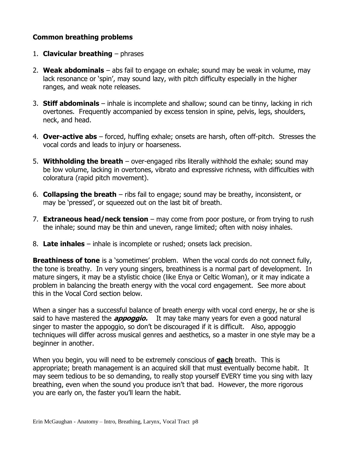## **Common breathing problems**

- 1. **Clavicular breathing** phrases
- 2. **Weak abdominals** abs fail to engage on exhale; sound may be weak in volume, may lack resonance or 'spin', may sound lazy, with pitch difficulty especially in the higher ranges, and weak note releases.
- 3. **Stiff abdominals** inhale is incomplete and shallow; sound can be tinny, lacking in rich overtones. Frequently accompanied by excess tension in spine, pelvis, legs, shoulders, neck, and head.
- 4. **Over-active abs** forced, huffing exhale; onsets are harsh, often off-pitch. Stresses the vocal cords and leads to injury or hoarseness.
- 5. **Withholding the breath** over-engaged ribs literally withhold the exhale; sound may be low volume, lacking in overtones, vibrato and expressive richness, with difficulties with coloratura (rapid pitch movement).
- 6. **Collapsing the breath** ribs fail to engage; sound may be breathy, inconsistent, or may be 'pressed', or squeezed out on the last bit of breath.
- 7. **Extraneous head/neck tension**  may come from poor posture, or from trying to rush the inhale; sound may be thin and uneven, range limited; often with noisy inhales.
- 8. **Late inhales** inhale is incomplete or rushed; onsets lack precision.

**Breathiness of tone** is a 'sometimes' problem. When the vocal cords do not connect fully, the tone is breathy. In very young singers, breathiness is a normal part of development. In mature singers, it may be a stylistic choice (like Enya or Celtic Woman), or it may indicate a problem in balancing the breath energy with the vocal cord engagement. See more about this in the Vocal Cord section below.

When a singer has a successful balance of breath energy with vocal cord energy, he or she is said to have mastered the **appoggio.** It may take many years for even a good natural singer to master the appoggio, so don't be discouraged if it is difficult. Also, appoggio techniques will differ across musical genres and aesthetics, so a master in one style may be a beginner in another.

When you begin, you will need to be extremely conscious of **each** breath. This is appropriate; breath management is an acquired skill that must eventually become habit. It may seem tedious to be so demanding, to really stop yourself EVERY time you sing with lazy breathing, even when the sound you produce isn't that bad. However, the more rigorous you are early on, the faster you'll learn the habit.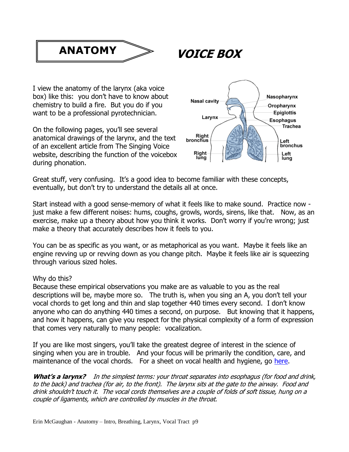

**VOICE BOX**

I view the anatomy of the larynx (aka voice box) like this: you don't have to know about chemistry to build a fire. But you do if you want to be a professional pyrotechnician.

On the following pages, you'll see several anatomical drawings of the larynx, and the text of an excellent article from The Singing Voice website, describing the function of the voicebox during phonation.



Great stuff, very confusing. It's a good idea to become familiar with these concepts, eventually, but don't try to understand the details all at once.

Start instead with a good sense-memory of what it feels like to make sound. Practice now just make a few different noises: hums, coughs, growls, words, sirens, like that. Now, as an exercise, make up a theory about how you think it works. Don't worry if you're wrong; just make a theory that accurately describes how it feels to you.

You can be as specific as you want, or as metaphorical as you want. Maybe it feels like an engine revving up or revving down as you change pitch. Maybe it feels like air is squeezing through various sized holes.

### Why do this?

Because these empirical observations you make are as valuable to you as the real descriptions will be, maybe more so. The truth is, when you sing an A, you don't tell your vocal chords to get long and thin and slap together 440 times every second. I don't know anyone who can do anything 440 times a second, on purpose. But knowing that it happens, and how it happens, can give you respect for the physical complexity of a form of expression that comes very naturally to many people: vocalization.

If you are like most singers, you'll take the greatest degree of interest in the science of singing when you are in trouble. And your focus will be primarily the condition, care, and maintenance of the vocal chords. For a sheet on vocal health and hygiene, go [here.](https://dl.dropboxusercontent.com/u/5513427/DIOS/Vocal%20Health%20update%202015.pdf)

What's a larynx? In the simplest terms: your throat separates into esophagus (for food and drink, to the back) and trachea (for air, to the front). The larynx sits at the gate to the airway. Food and drink shouldn't touch it. The vocal cords themselves are a couple of folds of soft tissue, hung on a couple of ligaments, which are controlled by muscles in the throat.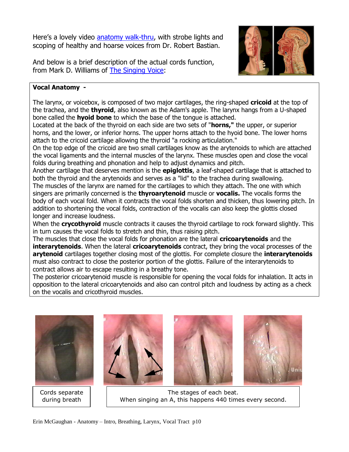Here's a lovely video [anatomy walk-thru,](https://www.youtube.com/watch?v=N6K35fvBjn4) with strobe lights and scoping of healthy and hoarse voices from Dr. Robert Bastian.

And below is a brief description of the actual cords function, from Mark D. Williams of [The Singing Voice:](http://www.singingvoice.net/anatomy.html)



### **Vocal Anatomy -**

The larynx, or voicebox, is composed of two major cartilages, the ring-shaped **cricoid** at the top of the trachea, and the **thyroid**, also known as the Adam's apple. The larynx hangs from a U-shaped bone called the **hyoid bone** to which the base of the tongue is attached.

Located at the back of the thyroid on each side are two sets of "**horns,"** the upper, or superior horns, and the lower, or inferior horns. The upper horns attach to the hyoid bone. The lower horns attach to the cricoid cartilage allowing the thyroid "a rocking articulation."

On the top edge of the cricoid are two small cartilages know as the arytenoids to which are attached the vocal ligaments and the internal muscles of the larynx. These muscles open and close the vocal folds during breathing and phonation and help to adjust dynamics and pitch.

Another cartilage that deserves mention is the **epiglottis**, a leaf-shaped cartilage that is attached to both the thyroid and the arytenoids and serves as a "lid" to the trachea during swallowing. The muscles of the larynx are named for the cartilages to which they attach. The one with which singers are primarily concerned is the **thyroarytenoid** muscle or **vocalis.** The vocalis forms the body of each vocal fold. When it contracts the vocal folds shorten and thicken, thus lowering pitch. In addition to shortening the vocal folds, contraction of the vocalis can also keep the glottis closed longer and increase loudness.

When the **crycothyroid** muscle contracts it causes the thyroid cartilage to rock forward slightly. This in turn causes the vocal folds to stretch and thin, thus raising pitch.

The muscles that close the vocal folds for phonation are the lateral **cricoarytenoids** and the **interarytenoids**. When the lateral **cricoarytenoids** contract, they bring the vocal processes of the **arytenoid** cartilages together closing most of the glottis. For complete closure the **interarytenoids** must also contract to close the posterior portion of the glottis. Failure of the interarytenoids to contract allows air to escape resulting in a breathy tone.

The posterior cricoarytenoid muscle is responsible for opening the vocal folds for inhalation. It acts in opposition to the lateral cricoarytenoids and also can control pitch and loudness by acting as a check on the vocalis and cricothyroid muscles.



Cords separate during breath







The stages of each beat. When singing an A, this happens 440 times every second.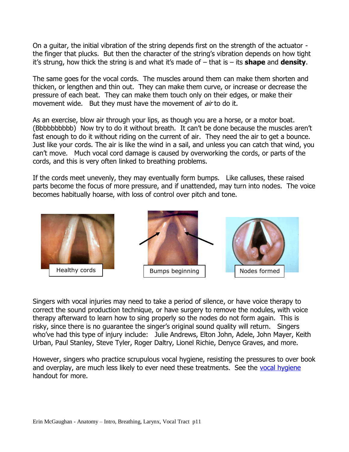On a guitar, the initial vibration of the string depends first on the strength of the actuator the finger that plucks. But then the character of the string's vibration depends on how tight it's strung, how thick the string is and what it's made of – that is – its **shape** and **density**.

The same goes for the vocal cords. The muscles around them can make them shorten and thicken, or lengthen and thin out. They can make them curve, or increase or decrease the pressure of each beat. They can make them touch only on their edges, or make their movement wide. But they must have the movement of *air* to do it.

As an exercise, blow air through your lips, as though you are a horse, or a motor boat. (Bbbbbbbbbb) Now try to do it without breath. It can't be done because the muscles aren't fast enough to do it without riding on the current of air. They need the air to get a bounce. Just like your cords. The air is like the wind in a sail, and unless you can catch that wind, you can't move. Much vocal cord damage is caused by overworking the cords, or parts of the cords, and this is very often linked to breathing problems.

If the cords meet unevenly, they may eventually form bumps. Like calluses, these raised parts become the focus of more pressure, and if unattended, may turn into nodes. The voice becomes habitually hoarse, with loss of control over pitch and tone.



Singers with vocal injuries may need to take a period of silence, or have voice therapy to correct the sound production technique, or have surgery to remove the nodules, with voice therapy afterward to learn how to sing properly so the nodes do not form again. This is risky, since there is no guarantee the singer's original sound quality will return. Singers who've had this type of injury include: Julie Andrews, Elton John, Adele, John Mayer, Keith Urban, Paul Stanley, Steve Tyler, Roger Daltry, Lionel Richie, Denyce Graves, and more.

However, singers who practice scrupulous vocal hygiene, resisting the pressures to over book and overplay, are much less likely to ever need these treatments. See the [vocal hygiene](https://dl.dropboxusercontent.com/u/5513427/DIOS/Vocal%20Health%20update%202015.pdf) handout for more.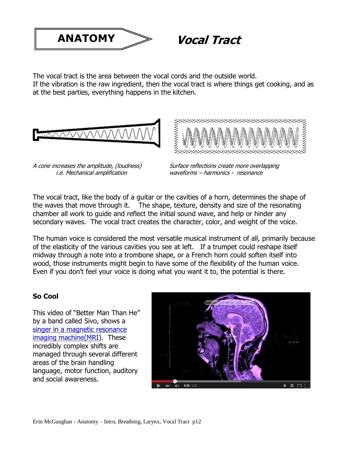

**Vocal Tract**

The vocal tract is the area between the vocal cords and the outside world. If the vibration is the raw ingredient, then the vocal tract is where things get cooking, and as at the best parties, everything happens in the kitchen.





A cone increases the amplitude, (loudness) i.e. Mechanical amplification

Surface reflections create more overlapping waveforms – harmonics - resonance

The vocal tract, like the body of a guitar or the cavities of a horn, determines the shape of the waves that move through it. The shape, texture, density and size of the resonating chamber all work to guide and reflect the initial sound wave, and help or hinder any secondary waves. The vocal tract creates the character, color, and weight of the voice.

The human voice is considered the most versatile musical instrument of all, primarily because of the elasticity of the various cavities you see at left. If a trumpet could reshape itself midway through a note into a trombone shape, or a French horn could soften itself into wood, those instruments might begin to have some of the flexibility of the human voice. Even if you don't feel your voice is doing what you want it to, the potential is there.

## **So Cool**

This video of "Better Man Than He" by a band called Sivo, shows a singer in a magnetic resonance [imaging machine\(MRI\)](https://www.youtube.com/watch?v=_964dqQxQwY). These incredibly complex shifts are managed through several different areas of the brain handling language, motor function, auditory and social awareness.

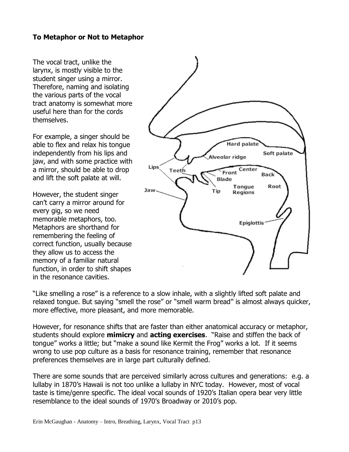## **To Metaphor or Not to Metaphor**

The vocal tract, unlike the larynx, is mostly visible to the student singer using a mirror. Therefore, naming and isolating the various parts of the vocal tract anatomy is somewhat more useful here than for the cords themselves.

For example, a singer should be able to flex and relax his tongue independently from his lips and jaw, and with some practice with a mirror, should be able to drop and lift the soft palate at will.

However, the student singer can't carry a mirror around for every gig, so we need memorable metaphors, too. Metaphors are shorthand for remembering the feeling of correct function, usually because they allow us to access the memory of a familiar natural function, in order to shift shapes in the resonance cavities.



"Like smelling a rose" is a reference to a slow inhale, with a slightly lifted soft palate and relaxed tongue. But saying "smell the rose" or "smell warm bread" is almost always quicker, more effective, more pleasant, and more memorable.

However, for resonance shifts that are faster than either anatomical accuracy or metaphor, students should explore **mimicry** and **acting exercises**. "Raise and stiffen the back of tongue" works a little; but "make a sound like Kermit the Frog" works a lot. If it seems wrong to use pop culture as a basis for resonance training, remember that resonance preferences themselves are in large part culturally defined.

There are some sounds that are perceived similarly across cultures and generations: e.g. a lullaby in 1870's Hawaii is not too unlike a lullaby in NYC today. However, most of vocal taste is time/genre specific. The ideal vocal sounds of 1920's Italian opera bear very little resemblance to the ideal sounds of 1970's Broadway or 2010's pop.